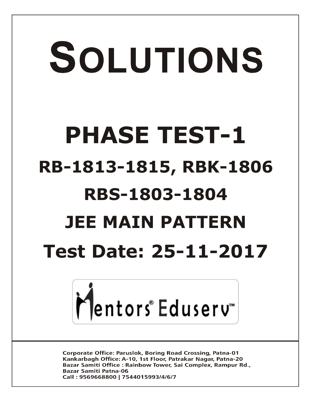# SOLUTIONS **PHASE TEST-1 RB-1813-1815, RBK-1806 RBS-1803-1804 JEE MAIN PATTERN Test Date: 25-11-2017**



**Corporate Office: Paruslok, Boring Road Crossing, Patna-01** Kankarbagh Office: A-10, 1st Floor, Patrakar Nagar, Patna-20 Bazar Samiti Office: Rainbow Tower, Sai Complex, Rampur Rd., **Bazar Samiti Patna-06** Call: 9569668800 | 7544015993/4/6/7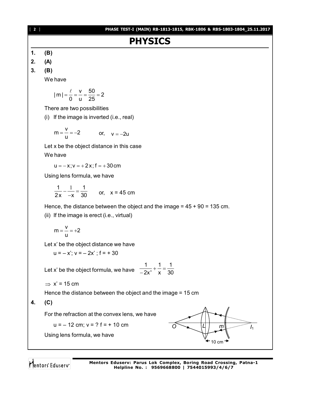

**Mentors Eduserv: Parus Lok Complex, Boring Road Crossing, Patna-1 Helpline No. : 9569668800 | 7544015993/4/6/7**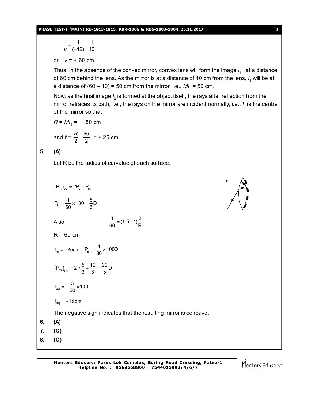#### **PHASE TEST-I (MAIN) RB-1813-1815, RBK-1806 & RBS-1803-1804\_25.11.2017** [ **3** ]

$$
[\,\,3\,\,]
$$

$$
\frac{1}{v} - \frac{1}{(-12)} = \frac{1}{10}
$$

or, *v* = + 60 cm

Thus, in the absence of the convex mirror, convex lens will form the image *I*<sub>1</sub>, at a distance of 60 cm behind the lens. As the mirror is at a distance of 10 cm from the lens, *I*<sub>1</sub> will be at a distance of  $(60 - 10)$  = 50 cm from the mirror, i.e.,  $M I_1 = 50$  cm.

Now, as the final image  $\mathit{l}_2$  is formed at the object itself, the rays after reflection from the mirror retraces its path, i.e., the rays on the mirror are incident normally, i.e.,  $I_{\scriptscriptstyle \rm 1}$  is the centre of the mirror so that

$$
R = M I_1 = +50 \text{ cm}
$$

and 
$$
f = \frac{R}{2} = \frac{50}{2} = 125
$$
 cm

# **5. (A)**

Let R be the radius of curvalue of each surface.



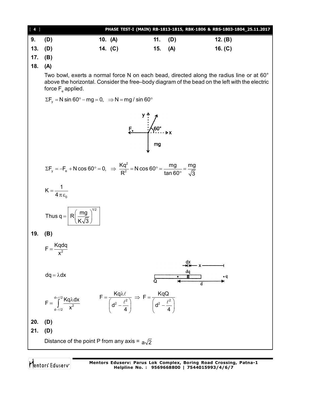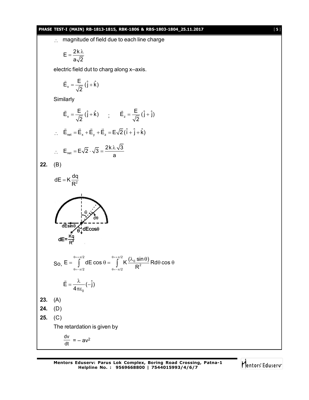## **PHASE TEST-I (MAIN) RB-1813-1815, RBK-1806 & RBS-1803-1804\_25.11.2017** [ **5** ]

: magnitude of field due to each line charge

$$
E=\frac{2k\lambda}{a\sqrt{2}}
$$

electric field dut to charg along x–axis.

$$
\vec{E}_x = \frac{E}{\sqrt{2}} (\hat{j} + \hat{k})
$$

Similarly

$$
\vec{E}_x = \frac{E}{\sqrt{2}} (\hat{j} + \hat{k}) \qquad ; \qquad \vec{E}_z = \frac{E}{\sqrt{2}} (\hat{j} + \hat{j})
$$
\n
$$
\therefore \quad \vec{E}_{net} = \vec{E}_x + \vec{E}_y + \vec{E}_z = E\sqrt{2} (\hat{i} + \hat{j} + \hat{k})
$$
\n
$$
\therefore \quad E_{net} = E\sqrt{2} \cdot \sqrt{3} = \frac{2k \lambda \sqrt{3}}{a}
$$
\n22. (B)\n
$$
dE = K \frac{dq}{R^2}
$$
\n
$$
dE = \frac{kq}{R^2}
$$
\nSo,  $E = \int_{0 = -\pi/2}^{0 = +\pi/2} dE \cos \theta$ \n
$$
\vec{E} = \frac{\lambda}{4\pi\epsilon_0} (-\hat{j})
$$
\n23. (A)\n24. (D)\n25. (C)\nThe retardation is given by\n
$$
\frac{dv}{dt} = -av^2
$$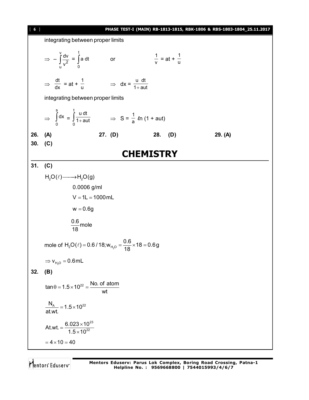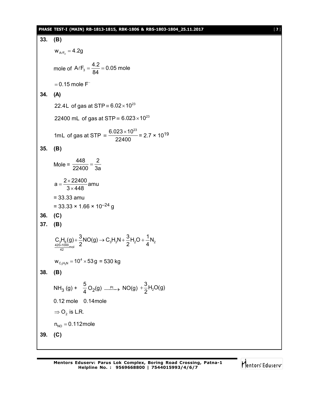## **PHASE TEST-I (MAIN) RB-1813-1815, RBK-1806 & RBS-1803-1804\_25.11.2017** [ **7** ]

33. **(B)**  
\n
$$
w_{A/F_3} = 4.2g
$$
\n
$$
mole of A/F_3 = \frac{4.2}{84} = 0.05 \text{ mole}
$$
\n
$$
= 0.15 \text{ mole F}
$$
\n34. **(A)**  
\n22.4L of gas at STP =  $6.02 \times 10^{23}$   
\n22400 mL of gas at STP =  $6.023 \times 10^{23}$   
\n1mL of gas at STP =  $\frac{6.023 \times 10^{23}}{22400} = 2.7 \times 10^{19}$   
\n35. **(B)**  
\n
$$
Mole = \frac{448}{22400} = \frac{2}{3a}
$$
\n
$$
a = \frac{2 \times 22400}{3 \times 448} \text{ amu}
$$
\n
$$
= 33.33 \text{ amu}
$$
\n
$$
= 33.33 \times 1.66 \times 10^{-24} \text{ g}
$$
\n36. **(C)**  
\n37. **(B)**  
\n
$$
C_3H_8(g) + \frac{3}{2}NO(g) \rightarrow C_3H_3N + \frac{3}{2}H_2O + \frac{1}{4}N_2
$$
\n
$$
W_{C_3H_3N} = 10^4 \times 53g = 530 \text{ kg}
$$
\n38. **(B)**  
\n
$$
NH_3 (g) + \frac{5}{4} O_2(g) \xrightarrow{pt} NO(g) + \frac{3}{2}H_2O(g)
$$
\n0.12 mole 0.14mole  
\n
$$
\Rightarrow O_2
$$
 is L.R.  
\n
$$
n_{NO} = 0.112 \text{ mole}
$$
  
\n39. **(C)**

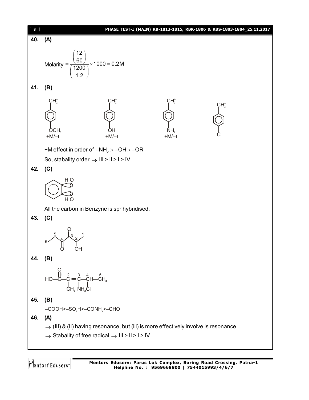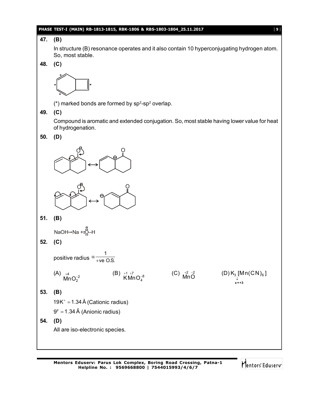## **PHASE TEST-I (MAIN) RB-1813-1815, RBK-1806 & RBS-1803-1804\_25.11.2017** [ **9** ]

# **47. (B)**

In structure (B) resonance operates and it also contain 10 hyperconjugating hydrogen atom. So, most stable.

**48. (C)**



 $(*)$  marked bonds are formed by sp<sup>2</sup>-sp<sup>2</sup> overlap.

**49. (C)**

Compound is aromatic and extended conjugation. So, most stable having lower value for heat of hydrogenation.





**51. (B)**

$$
\mathsf{NaOH}{\rightarrow}\mathsf{Na}{\rightarrow}\overset{\circ}{\mathsf{Q}}\mathsf{-H}
$$

**52. (C)**

positive radius  $\alpha$  we O.S. 1

$$
\overset{\text{(A)}}{\mathsf{MnO}_2^{-2}}
$$

(C)  $\frac{+2}{10}$   $\frac{-2}{10}$ 



**53. (B)**

 $19K^+ = 1.34 \text{ Å}$  (Cationic radius)

 $9<sup>F</sup> = 1.34 \text{ Å}$  (Anionic radius)

**54. (D)** All are iso-electronic species.

(B)  $+1 +7 \atop {\rm KMn\,O_4^{-8}}$ 

Mentors Eduserv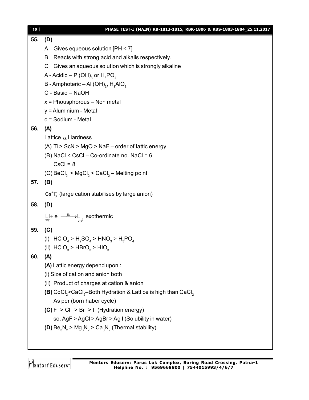| [10] | PHASE TEST-I (MAIN) RB-1813-1815, RBK-1806 & RBS-1803-1804_25.11.2017                             |
|------|---------------------------------------------------------------------------------------------------|
| 55.  | (D)                                                                                               |
|      | A Gives equeous solution [PH < 7]                                                                 |
|      | Reacts with strong acid and alkalis respectively.<br>B                                            |
|      | Gives an aqueous solution which is strongly alkaline<br>C.                                        |
|      | A - Acidic – P (OH) <sub>3</sub> or $H_3PO_4$                                                     |
|      | B - Amphoteric – Al (OH) <sub>3</sub> , H <sub>3</sub> AlO <sub>3</sub>                           |
|      | C - Basic - NaOH                                                                                  |
|      | $x =$ Phousphorous - Non metal                                                                    |
|      | y = Aluminium - Metal                                                                             |
|      | c = Sodium - Metal                                                                                |
| 56.  | (A)                                                                                               |
|      | Lattice $\alpha$ Hardness                                                                         |
|      | (A) Ti > ScN > MgO > NaF - order of lattic energy                                                 |
|      | $(B)$ NaCl < CsCl – Co-ordinate no. NaCl = 6                                                      |
|      | $CsCl = 8$                                                                                        |
|      | $(C)$ BeCl <sub>2</sub> < MgCl <sub>2</sub> < CaCl <sub>2</sub> – Melting point                   |
| 57.  | (B)                                                                                               |
|      | $Cs+I3$ (large cation stabilises by large anion)                                                  |
| 58.  | (D)                                                                                               |
|      | $Li + e^- \xrightarrow{Ea} Li^-$ exothermic                                                       |
| 59.  | (C)                                                                                               |
|      | (I) $HClO4 > H2SO4 > HNO3 > H3PO4$                                                                |
|      | (II) $HClO3 > HBrO3 > HIO3$                                                                       |
| 60.  | (A)                                                                                               |
|      | (A) Lattic energy depend upon:                                                                    |
|      | (i) Size of cation and anion both                                                                 |
|      | (ii) Product of charges at cation & anion                                                         |
|      | (B) CdCl <sub>2</sub> >CaCl <sub>2</sub> -Both Hydration & Lattice is high than CaCl <sub>2</sub> |
|      | As per (born haber cycle)                                                                         |
|      | (C) $F^{-} > Cl^{-} > Br^{-} > l^{-}$ (Hydration energy)                                          |
|      | so, AgF > AgCl > AgBr > Ag I (Solubility in water)                                                |
|      | (D) $Be_3N_2 > Mg_3N_2 > Ca_3N_2$ (Thermal stability)                                             |
|      |                                                                                                   |

Mentors<sup>e</sup> Eduserv<sup>-</sup>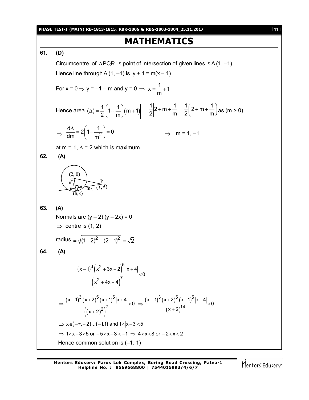**PHASE TEST-I (MAIN) RB-1813-1815, RBK-1806 & RBS-1803-1804\_25.11.2017** [ **11** ]

# **MATHEMATICS**

**61. (D)**

Circumcentre of  $\triangle PQR$  is point of intersection of given lines is A (1, -1) Hence line through A  $(1, -1)$  is  $y + 1 = m(x - 1)$ 1

For 
$$
x = 0 \Rightarrow y = -1 - m
$$
 and  $y = 0 \Rightarrow x = \frac{1}{m} + 1$ 

Hence area 
$$
(\Delta) = \frac{1}{2} \left[ 1 + \frac{1}{m} \right] (m+1) \left| 1 + \frac{1}{2} \right| 2 + m + \frac{1}{m} \left| 1 + \frac{1}{2} \right| (2 + m + \frac{1}{m})
$$
 as  $(m > 0)$ 

$$
\Rightarrow \frac{d\Delta}{dm} = 2\left(1 - \frac{1}{m^2}\right) = 0 \qquad \Rightarrow \quad m = 1, -1
$$

at m = 1,  $\Delta$  = 2 which is maximum

$$
62. (A)
$$



```
63. (A)
Normals are (y - 2)(y - 2x) = 0\Rightarrow centre is (1, 2)
radius =\sqrt{(1-2)^2 + (2-1)^2} = \sqrt{2}64. (A)
           (x-1)^{3}(x^2+3x+2)(X^- + 4X + 4)3(y^2+3y+2)^52 + 4x + 4^7(x-1)^3 (x^2 + 3x + 2) |x + 4|0
                   x^2 + 4x + 4(-1)^{3}(x^{2}+3x+2) |x + 4
                                        \lt+4x+4(x-1)^{3}(x+2)^{5}(x+1)^{4}((x+2)^{2})(x-1)^{3}(x+2)^{5}(x+1)^{4}(x+2)3(y, 2)^5 (x, 1)^5 |x, 1| (x, 1)^3 (x, 2)^5 (x, 1)^5(2)^7 (x+2)^{14}\frac{(x-1)^3(x+2)^3(x+1)^3|x+4|}{x^2} < 0 \Rightarrow \frac{(x-1)^3(x+2)^3(x+1)^3|x+4|}{44} < 0
                (x+2)^2 (x+2)^2\Rightarrow \frac{(x-1)^{3}(x+2)^{3}(x+1)^{5}(x+4)}{7} <0 \Rightarrow \frac{(x-1)^{3}(x+2)^{5}(x+1)^{5}(x+4)}{14} <0(x + 2)^{2} (x +\Rightarrow x \in (-\infty, -2) \cup (-1,1) and 1 < |x-3| < 5
 \Rightarrow 1<x-3<5 or -5<x-3<-1 \Rightarrow 4<x<8 or -2<x<2
 Hence common solution is (-1, 1)
```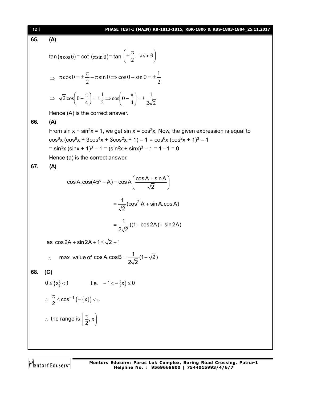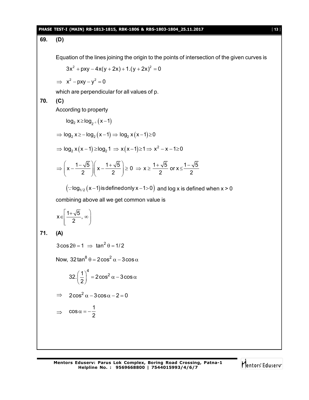## **PHASE TEST-I (MAIN) RB-1813-1815, RBK-1806 & RBS-1803-1804\_25.11.2017** [ **13** ]

# **69. (D)**

Equation of the lines joining the origin to the points of intersection of the given curves is

$$
3x^2 + pxy - 4x(y + 2x) + 1.(y + 2x)^2 = 0
$$

 $\implies$   $x^2 - pxy - y^2 = 0$ 

which are perpendicular for all values of p.

# **70. (C)**

 $\Rightarrow$ 

 $\cos \alpha = -\frac{1}{2}$ 

2  $\alpha = -\frac{1}{2}$ 

According to property

$$
\log_2 x \ge \log_2 x (x-1)
$$
  
\n
$$
\Rightarrow \log_2 x \ge -\log_2 (x-1) \Rightarrow \log_2 x (x-1) \ge 0
$$
  
\n
$$
\Rightarrow \log_2 x (x-1) \ge \log_2 1 \Rightarrow x (x-1) \ge 1 \Rightarrow x^2 - x - 1 \ge 0
$$
  
\n
$$
\Rightarrow \left(x - \frac{1 - \sqrt{5}}{2}\right) \left(x - \frac{1 + \sqrt{5}}{2}\right) \ge 0 \Rightarrow x \ge \frac{1 + \sqrt{5}}{2} \text{ or } x \le \frac{1 - \sqrt{5}}{2}
$$
  
\n
$$
(\because \log_{1/2} (x-1) \text{ is defined only } x-1 > 0) \text{ and } \log x \text{ is defined when } x > 0
$$
  
\ncombining above all we get common value is  
\n
$$
x \in \left[\frac{1 + \sqrt{5}}{2}, \infty\right)
$$
  
\n71. **(A)**  
\n
$$
3 \cos 2\theta = 1 \Rightarrow \tan^2 \theta = 1/2
$$
  
\nNow,  $32 \tan^8 \theta = 2 \cos^2 \alpha - 3 \cos \alpha$   
\n
$$
32. \left(\frac{1}{2}\right)^4 = 2 \cos^2 \alpha - 3 \cos \alpha
$$
  
\n
$$
\Rightarrow 2 \cos^2 \alpha - 3 \cos \alpha - 2 = 0
$$

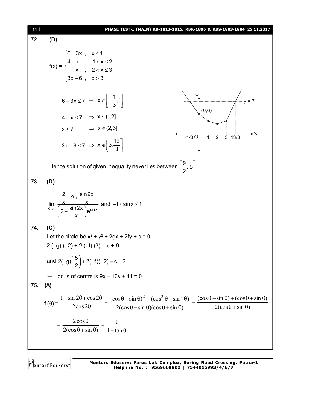| $[14]$ | PHASE TEST-I (MAIN) RB-1813-1815, RBK-1806 & RBS-1803-1804_25.11.2017                                                                                                                                                                                                                                |
|--------|------------------------------------------------------------------------------------------------------------------------------------------------------------------------------------------------------------------------------------------------------------------------------------------------------|
| 72.    | (D)                                                                                                                                                                                                                                                                                                  |
|        | $f(x) = \begin{cases} 6-3x, & x \le 1 \\ 4-x, & 1 < x \le 2 \\ x, & 2 < x \le 3 \\ 3x-6, & x > 3 \end{cases}$                                                                                                                                                                                        |
|        | $6-3x \le 7 \Rightarrow x \in \left[-\frac{1}{3},1\right]$<br>(0, 6)<br>$4-x \le 7$ $\Rightarrow$ $x \in (1,2]$<br>$x \le 7$ $\Rightarrow$ $x \in (2,3]$<br>►X<br>$3 \t13/3$<br>$-1/3$ O<br>$\overline{2}$<br>$\overline{1}$<br>$3x-6 \le 7 \Rightarrow x \in \left[3, \frac{13}{3}\right]$          |
|        | Hence solution of given inequality never lies between $\left \frac{9}{2}, 5\right $                                                                                                                                                                                                                  |
| 73.    | (D)                                                                                                                                                                                                                                                                                                  |
|        | $\lim_{x\to\infty}\frac{\frac{2}{x}+2+\frac{\sin 2x}{x}}{\left(2+\frac{\sin 2x}{x}\right)e^{\sin x}}$ and $-1\leq \sin x \leq 1$                                                                                                                                                                     |
| 74.    | (C)                                                                                                                                                                                                                                                                                                  |
|        | Let the circle be $x^2 + y^2 + 2gx + 2fy + c = 0$<br>$2(-g) (-2) + 2(-f) (3) = c + 9$                                                                                                                                                                                                                |
|        | and $2(-g)\left(\frac{5}{2}\right)+2(-f)(-2)=c-2$                                                                                                                                                                                                                                                    |
|        | $\Rightarrow$ locus of centre is $9x - 10y + 11 = 0$                                                                                                                                                                                                                                                 |
| 75.    | (A)                                                                                                                                                                                                                                                                                                  |
|        | $f(\theta) = \frac{1-\sin 2\theta + \cos 2\theta}{2\cos 2\theta} = \frac{(\cos \theta - \sin \theta)^2 + (\cos^2 \theta - \sin^2 \theta)}{2(\cos \theta - \sin \theta)(\cos \theta + \sin \theta)} = \frac{(\cos \theta - \sin \theta) + (\cos \theta + \sin \theta)}{2(\cos \theta + \sin \theta)}$ |
|        | $= \frac{2\cos\theta}{2(\cos\theta + \sin\theta)} = \frac{1}{1 + \tan\theta}$                                                                                                                                                                                                                        |
|        |                                                                                                                                                                                                                                                                                                      |

Mentors<sup>®</sup> Eduserv<sup>®</sup>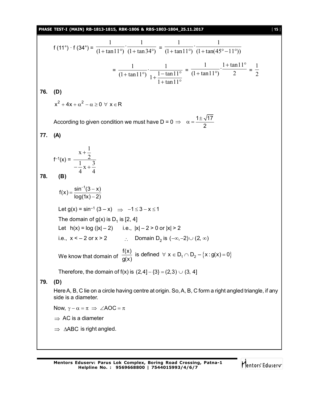**PHASE TEST-I (MAIN) RB-1813-1815, RBK-1806 & RBS-1803-1804\_25.11.2017** [ **15** ]

f (11°) · f (34°) =  $\frac{}{(1 + \tan 11^\circ)} \cdot \frac{}{(1 + \tan 34^\circ)}$  $\cdot \frac{1}{\sigma}$  $(1 + \tan 11^\circ)$ 1  $+\tan 11^{\circ}$   $\cdot \frac{\overline{(1 + \tan 34^{\circ})}}{1 + \tan 11^{\circ}} \cdot \frac{\overline{(1 + \tan(45^{\circ} - 11^{\circ}))}}{1 + \tan(45^{\circ} - 11^{\circ}))}$  $\cdot \frac{1}{4}$  $(1 + \tan 11^\circ)$ 1  $+\tan 11^{\circ}$   $(1+\tan (45^{\circ}-11^{\circ}$ =  $+$  tan  $11^{\circ}$ + tan 1 1<sup>o</sup>)  $1 + \frac{1 - \tan 11^{\circ}}{1 - \tan 11^{\circ}}$  $1 + \tan 11$  $1 + \frac{1 - \tan 11}{1}$  $\cdot \frac{1}{1}$  $(1 + \tan 11^\circ)$ 1  $=\frac{}{(1 + \tan 11^\circ)}$   $\frac{}{2}$  $\cdot \frac{1 + \tan 11}{2}$  $(1 + \tan 11^\circ)$ 1  $1 + \tan 11^\circ$  $+\tan 11^\circ$   $2 = \frac{\ }{2}$ 1 **76. (D)**  $x^2 + 4x + \alpha^2 - \alpha > 0 \quad \forall \quad x \in \mathbb{R}$ According to given condition we must have D = 0  $\Rightarrow$   $\alpha = \frac{1 \pm \sqrt{17}}{2}$  $\Rightarrow \alpha = \frac{1\pm\pi}{2}$ **77. (A)**  $f^{-1}(x) =$ 4  $x + \frac{3}{4}$ 4 1 2  $x + \frac{1}{2}$  $-\frac{1}{4}x +$  $\ddag$ **78. (B)**  $=\frac{\sin^{-1}(3-1)}{1-(1-1)}$  $\overline{\phantom{a}}$  $f(x) = \frac{\sin^{-1}(3-x)}{\ln(1-x)}$  $log(1x) - 2)$ Let  $q(x) = \sin^{-1}(3 - x) \implies -1 \leq 3 - x \leq 1$ The domain of  $g(x)$  is  $D_1$  is [2, 4] Let  $h(x) = log(|x| - 2)$  i.e.,  $|x| - 2 > 0$  or  $|x| > 2$ i.e.,  $x < -2$  or  $x > 2$   $\therefore$  Domain D<sub>2</sub> is  $(-\infty, -2) \cup (2, \infty)$ We know that domain of  $\frac{f(x)}{g(x)}$  is defined  $\forall x \in D_1 \cap D_2 - \{x : g(x) = 0\}$ g(x)  $\forall x \in D_1 \cap D_2 - \{x : g(x) = 0\}$ Therefore, the domain of  $f(x)$  is  $(2,4] - \{3\} = (2,3) \cup (3, 4]$ **79. (D)** Here A, B, C lie on a circle having centre at origin. So, A, B, C form a right angled triangle, if any side is a diameter. Now,  $\gamma - \alpha = \pi \implies \angle AOC = \pi$  $\Rightarrow$  AC is a diameter  $\Rightarrow$   $\triangle$ ABC is right angled.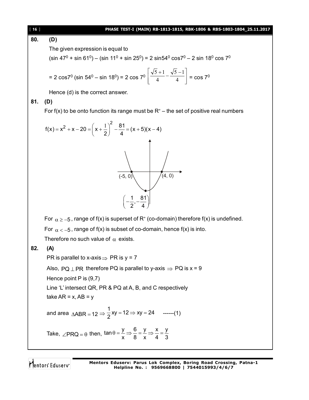### [ **16** ] **PHASE TEST-I (MAIN) RB-1813-1815, RBK-1806 & RBS-1803-1804\_25.11.2017**

**80. (D)**

The given expression is equal to

(sin 47 $^0$  + sin 61 $^0$ ) – (sin 11 $^0$  + sin 25 $^0$ ) = 2 sin54 $^0$  cos7 $^0$  – 2 sin 18 $^0$  cos 7 $^0$ 

$$
= 2 \cos 7^0 \left( \sin 54^0 - \sin 18^0 \right) = 2 \cos 7^0 \left[ \frac{\sqrt{5} + 1}{4} - \frac{\sqrt{5} - 1}{4} \right] = \cos 7^0
$$

Hence (d) is the correct answer.

**81. (D)**

For f(x) to be onto function its range must be  $R<sup>+</sup>$  – the set of positive real numbers



For  $\alpha$   $\ge$  –5 , range of f(x) is superset of R<sup>+</sup> (co-domain) therefore f(x) is undefined.

For  $\alpha < -5$ , range of f(x) is subset of co-domain, hence f(x) is into.

Therefore no such value of  $\alpha$  exists.

# **82. (A)**

PR is parallel to x-axis  $\Rightarrow$  PR is y = 7

Also, PQ  $\perp$  PR therefore PQ is parallel to y-axis  $\Rightarrow$  PQ is x = 9

Hence point P is  $(9,7)$ 

Line 'L' intersect QR, PR & PQ at A, B, and C respectively

$$
take AR = x, AB = y
$$

and area 
$$
\triangle
$$
ABR = 12  $\Rightarrow$   $\frac{1}{2}$ xy = 12  $\Rightarrow$  xy = 24 -----(1)

Take, 
$$
\angle PRQ = \theta
$$
 then,  $\tan \theta = \frac{y}{x} \Rightarrow \frac{6}{8} = \frac{y}{x} \Rightarrow \frac{x}{4} = \frac{y}{3}$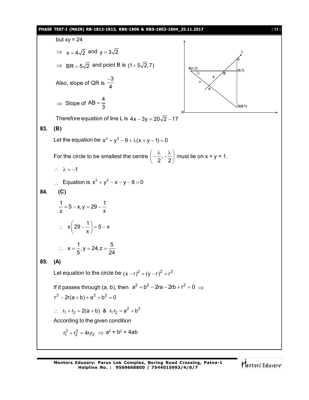# **PHASE TEST-I (MAIN) RB-1813-1815, RBK-1806 & RBS-1803-1804\_25.11.2017** [ **17** ]

but 
$$
xy = 24
$$
  
\n $\Rightarrow x = 4\sqrt{2}$  and  $y = 3\sqrt{2}$   
\n $\Rightarrow BR = 5\sqrt{2}$  and point B is  $(1 + 5\sqrt{2}, 7)$   
\nAlso, slope of QR is  $\frac{-3}{4}$   
\n $\Rightarrow$  Slope of AB =  $\frac{4}{3}$   
\nTherefore equation of line L is  $4x - 3y = 20\sqrt{2} - 17$   
\n83. (B)  
\nLet the equation be  $x^2 + y^2 - 9 + \lambda(x + y - 1) = 0$   
\nFor the circle to be smallest the centre  $\left(-\frac{\lambda}{2}, -\frac{\lambda}{2}\right)$  must lie on  $x + y = 1$ .  
\n $\therefore \lambda = -1$   
\n $\therefore$  Equation is  $x^2 + y^2 - x - y - 8 = 0$   
\n84. (C)  
\n $\frac{1}{z} = 5 - x, y = 29 - \frac{1}{x}$   
\n $\therefore x\left(29 - \frac{1}{x}\right) = 5 - x$   
\n $\therefore x\left(29 - \frac{1}{x}\right) = 5 - x$   
\n $\therefore x = \frac{1}{5}, y = 24, z = \frac{5}{24}$   
\n85. (A)  
\nLet equation to the circle be  $(x - r)^2 + (y - r)^2 = r^2$   
\nIf it passes through (a, b), then  $a^2 + b^2 - 2ra - 2rb + r^2 = 0 \Rightarrow r^2 - 2r(a + b) + a^2 + b^2 = 0$   
\n $r^2 - 2r(a + b) + a^2 + b^2 = 0$   
\n $\therefore r_1 + r_2 = 2(a + b) \& r_1r_2 = a^2 + b^2$   
\nAccording to the given condition  
\n $r_1^2 + r_2^2 = 4r_1r_2 \Rightarrow a^2 + b^2 = 4ab$ 

Mentors<sup>e</sup> Eduserv<sup>-</sup>